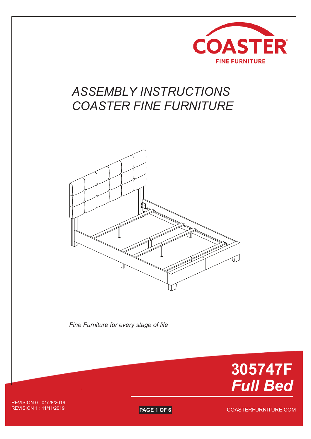

# *ASSEMBLY INSTRUCTIONS COASTER FINE FURNITURE*



*Fine Furniture for every stage of life*



REVISION 0 : 01/28/2019

**PAGE 1 OF 6** 

COASTERFURNITURE.COM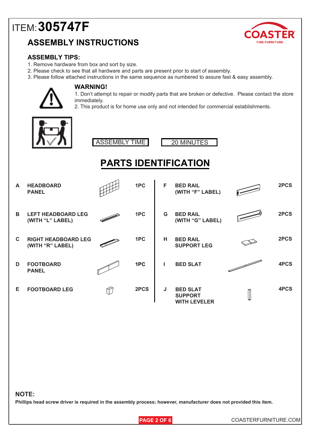## **ASSEMBLY INSTRUCTIONS**



#### **ASSEMBLY TIPS:**

- 1. Remove hardware from box and sort by size.
- 2. Please check to see that all hardware and parts are present prior to start of assembly.
- 3. Please follow attached instructions in the same sequence as numbered to assure fast & easy assembly.



#### **WARNING!**

1. Don't attempt to repair or modify parts that are broken or defective. Please contact the store immediately.

2. This product is for home use only and not intended for commercial establishments.



ASSEMBLY TIME 20 MINUTES



## **PARTS IDENTIFICATION**

| A            | <b>HEADBOARD</b><br><b>PANEL</b>               | 1PC  | F | <b>BED RAIL</b><br>(WITH "F" LABEL)                      | 2PCS |
|--------------|------------------------------------------------|------|---|----------------------------------------------------------|------|
| B.           | <b>LEFT HEADBOARD LEG</b><br>(WITH "L" LABEL)  | 1PC  | G | <b>BED RAIL</b><br>(WITH "G" LABEL)                      | 2PCS |
| $\mathbf{C}$ | <b>RIGHT HEADBOARD LEG</b><br>(WITH "R" LABEL) | 1PC  | н | <b>BED RAIL</b><br><b>SUPPORT LEG</b>                    | 2PCS |
| D            | <b>FOOTBOARD</b><br><b>PANEL</b>               | 1PC  |   | <b>BED SLAT</b>                                          | 4PCS |
| Е            | <b>FOOTBOARD LEG</b>                           | 2PCS | J | <b>BED SLAT</b><br><b>SUPPORT</b><br><b>WITH LEVELER</b> | 4PCS |

#### **NOTE:**

**Phillips head screw driver is required in the assembly process; however, manufacturer does not provided this item.**

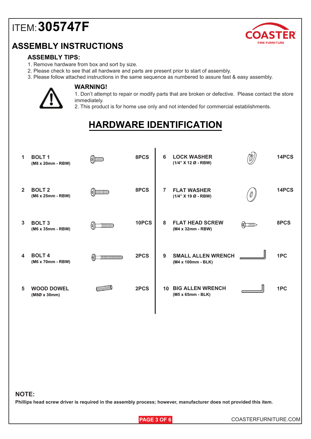## **ASSEMBLY INSTRUCTIONS**



#### **ASSEMBLY TIPS:**

- 1. Remove hardware from box and sort by size.
- 2. Please check to see that all hardware and parts are present prior to start of assembly.
- 3. Please follow attached instructions in the same sequence as numbered to assure fast & easy assembly.



#### **WARNING!**

1. Don't attempt to repair or modify parts that are broken or defective. Please contact the store immediately.

2. This product is for home use only and not intended for commercial establishments.

## **HARDWARE IDENTIFICATION**

| 1 | <b>BOLT1</b><br>(M8 x 20mm - RBW)        | $\binom{6}{2}$      | 8PCS  | 6              | <b>LOCK WASHER</b><br>(1/4" X 12 Ø - RBW)       |               | 14PCS |
|---|------------------------------------------|---------------------|-------|----------------|-------------------------------------------------|---------------|-------|
| 2 | <b>BOLT 2</b><br>(M6 x 25mm - RBW)       | $\omega$ ) $\omega$ | 8PCS  | $\overline{7}$ | <b>FLAT WASHER</b><br>(1/4" X 19 Ø - RBW)       | 0.            | 14PCS |
| 3 | <b>BOLT 3</b><br>(M6 x 35mm - RBW)       | IIIIIID             | 10PCS | 8              | <b>FLAT HEAD SCREW</b><br>(M4 x 32mm - RBW)     | <b>ELILLE</b> | 8PCS  |
| 4 | <b>BOLT4</b><br>(M6 x 70mm - RBW)        | <b>INNIMINIMIN</b>  | 2PCS  | 9              | <b>SMALL ALLEN WRENCH</b><br>(M4 x 100mm - BLK) |               | 1PC   |
| 5 | <b>WOOD DOWEL</b><br>$(M8Ø \times 30mm)$ |                     | 2PCS  | 10             | <b>BIG ALLEN WRENCH</b><br>(M5 x 65mm - BLK)    |               | 1PC   |

#### **NOTE:**

**Phillips head screw driver is required in the assembly process; however, manufacturer does not provided this item.**

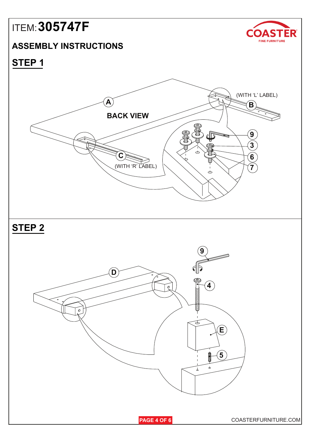### **ASSEMBLY INSTRUCTIONS**



**STEP 1**

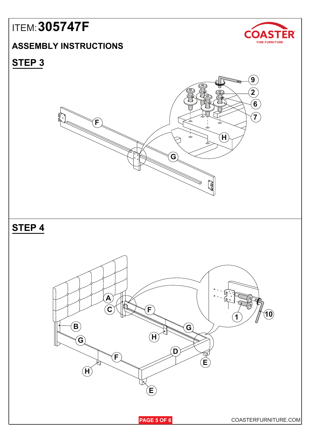## **ASSEMBLY INSTRUCTIONS**



**STEP 3**

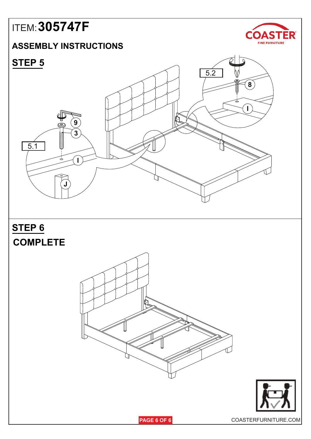